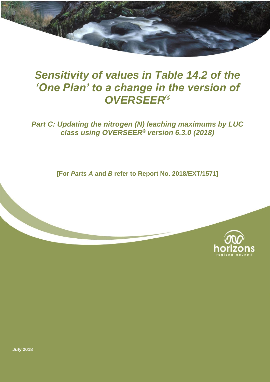## *Sensitivity of values in Table 14.2 of the 'One Plan' to a change in the version of OVERSEER®*

### *Part C: Updating the nitrogen (N) leaching maximums by LUC class using OVERSEER***®** *version 6.3.0 (2018)*

**[For** *Parts A* **and** *B* **refer to Report No. 2018/EXT/1571]**



**July 2018**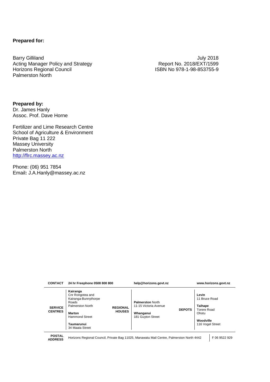#### **Prepared for:**

Barry Gilliland July 2018 Acting Manager Policy and Strategy <br>
Horizons Regional Council Council Council Council Council Report No. 2018/EXT/1599<br>
Report No. 2018/EXT/1599<br>
ISBN No. 978-1-98-853755-9 Palmerston North

ISBN No 978-1-98-853755-9

**Prepared by:** Dr. James Hanly Assoc. Prof. Dave Horne

Fertilizer and Lime Research Centre School of Agriculture & Environment Private Bag 11 222 Massey University Palmerston North [http://flrc.massey.ac.nz](http://flrc.massey.ac.nz/)

Phone: (06) 951 7854 Email**:** J.A.Hanly@massey.ac.nz

| <b>CONTACT</b>                   | 24 hr Freephone 0508 800 800                                                                                                                                                              | help@horizons.govt.nz                                                                               | www.horizons.govt.nz                                                                              |  |
|----------------------------------|-------------------------------------------------------------------------------------------------------------------------------------------------------------------------------------------|-----------------------------------------------------------------------------------------------------|---------------------------------------------------------------------------------------------------|--|
| <b>SERVICE</b><br><b>CENTRES</b> | Kairanga<br>Cnr Rongotea and<br>Kairanga-Bunnythorpe<br>Roads<br>Palmerston North<br><b>REGIONAL</b><br><b>HOUSES</b><br>Marton<br><b>Hammond Street</b><br>Taumarunui<br>34 Maata Street | <b>Palmerston North</b><br>11-15 Victoria Avenue<br><b>DEPOTS</b><br>Whanganui<br>181 Guyton Street | Levin<br>11 Bruce Road<br><b>Taihape</b><br>Torere Road<br>Ohotu<br>Woodville<br>116 Vogel Street |  |

**POSTAL** 

**ADDRESS** Horizons Regional Council, Private Bag 11025, Manawatu Mail Centre, Palmerston North 4442 F 06 9522 929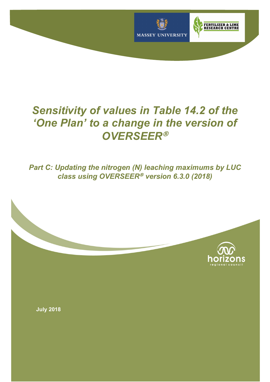

# *Sensitivity of values in Table 14.2 of the 'One Plan' to a change in the version of OVERSEER*<sup>Ò</sup>

*Part C: Updating the nitrogen (N) leaching maximums by LUC class using OVERSEER*<sup>®</sup> *version* 6.3.0 (2018)

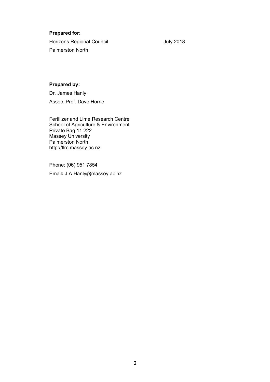### **Prepared for:**

Horizons Regional Council **Horizons** Regional Council Palmerston North

#### **Prepared by:**

Dr. James Hanly Assoc. Prof. Dave Horne

Fertilizer and Lime Research Centre School of Agriculture & Environment Private Bag 11 222 Massey University Palmerston North http://flrc.massey.ac.nz

Phone: (06) 951 7854 Email**:** J.A.Hanly@massey.ac.nz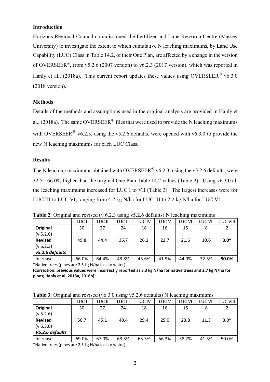#### **Introduction**

Horizons Regional Council commissioned the Fertilizer and Lime Research Centre (Massey University) to investigate the extent to which cumulative N leaching maximums, by Land Use Capability (LUC) Class in Table 14.2, of their One Plan, are affected by a change in the version of OVERSEER<sup>®</sup>, from v5.2.6 (2007 version) to v6.2.3 (2017 version), which was reported in Hanly et al., (2018a). This current report updates these values using OVERSEER<sup>®</sup> v6.3.0 (2018 version).

#### **Methods**

Details of the methods and assumptions used in the original analysis are provided in Hanly et al., (2018a). The same OVERSEER<sup>®</sup> files that were used to provide the N leaching maximums with OVERSEER<sup>®</sup> v6.2.3, using the v5.2.6 defaults, were opened with v6.3.0 to provide the new N leaching maximums for each LUC Class.

#### **Results**

The N leaching maximums obtained with OVERSEER<sup>®</sup> v6.2.3, using the v5.2.6 defaults, were 32.5 - 66.0% higher than the original One Plan Table 14.2 values (Table 2). Using v6.3.0 all the leaching maximums increased for LUC I to VII (Table 3). The largest increases were for LUC III to LUC VI, ranging from 4.7 kg N/ha for LUC III to 2.2 kg N/ha for LUC VI.

**Table 2**: Original and revised (v 6.2.3 using v5.2.6 defaults) N leaching maximums

|                 | LUC <sub>I</sub> | LUC II | LUC III | LUC IV | LUC <sub>V</sub> | LUC VI | LUC VII | <b>LUC VIII</b> |
|-----------------|------------------|--------|---------|--------|------------------|--------|---------|-----------------|
| Original        | 30               | 27     | 24      | 18     | 16               | 15     | 8       |                 |
| (v 5.2.6)       |                  |        |         |        |                  |        |         |                 |
| <b>Revised</b>  | 49.8             | 44.4   | 35.7    | 26.2   | 22.7             | 21.6   | 10.6    | $3.0*$          |
| (v 6.2.3)       |                  |        |         |        |                  |        |         |                 |
| v5.2.6 defaults |                  |        |         |        |                  |        |         |                 |
| Increase        | 66.0%            | 64.4%  | 48.8%   | 45.6%  | 41.9%            | 44.0%  | 32.5%   | 50.0%           |

\*Native trees (pines are 2.5 kg N/ha loss to water)

**(Correction: previous values were incorrectly reported as 3.3 kg N/ha for native trees and 2.7 kg N/ha for pines; Hanly et al. 2018a, 2018b)**

| Table 3: Original and revised (v6.3.0 using v5.2.6 defaults) N leaching maximums |  |  |  |
|----------------------------------------------------------------------------------|--|--|--|
|                                                                                  |  |  |  |

|                 | LUC I | LUC II | LUC III | LUC IV | LUC <sub>V</sub> | LUC VI | LUC VII | <b>LUC VIII</b> |
|-----------------|-------|--------|---------|--------|------------------|--------|---------|-----------------|
| Original        | 30    | 27     | 24      | 18     | 16               | 15     | 8       |                 |
| (v 5.2.6)       |       |        |         |        |                  |        |         |                 |
| <b>Revised</b>  | 50.7  | 45.1   | 40.4    | 29.4   | 25.0             | 23.8   | 11.3    | $3.0*$          |
| (v 6.3.0)       |       |        |         |        |                  |        |         |                 |
| V5.2.6 defaults |       |        |         |        |                  |        |         |                 |
| Increase        | 69.0% | 67.0%  | 68.3%   | 63.3%  | 56.3%            | 58.7%  | 41.3%   | 50.0%           |

\*Native trees (pines are 2.5 kg N/ha loss to water)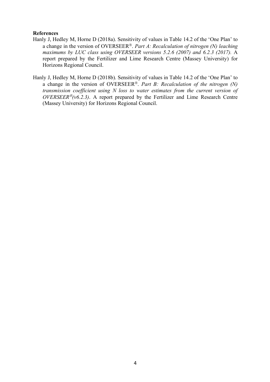#### **References**

- Hanly J, Hedley M, Horne D (2018a). Sensitivity of values in Table 14.2 of the 'One Plan' to a change in the version of OVERSEER<sup>®</sup>. *Part A: Recalculation of nitrogen (N) leaching maximums by LUC class using OVERSEER versions 5.2.6 (2007) and 6.2.3 (2017).* A report prepared by the Fertilizer and Lime Research Centre (Massey University) for Horizons Regional Council.
- Hanly J, Hedley M, Horne D (2018b). Sensitivity of values in Table 14.2 of the 'One Plan' to a change in the version of OVERSEER<sup>®</sup>. *Part B: Recalculation of the nitrogen (N) transmission coefficient using N loss to water estimates from the current version of*   $OVERSEER<sup>®</sup>(v6.2.3)$ . A report prepared by the Fertilizer and Lime Research Centre (Massey University) for Horizons Regional Council.